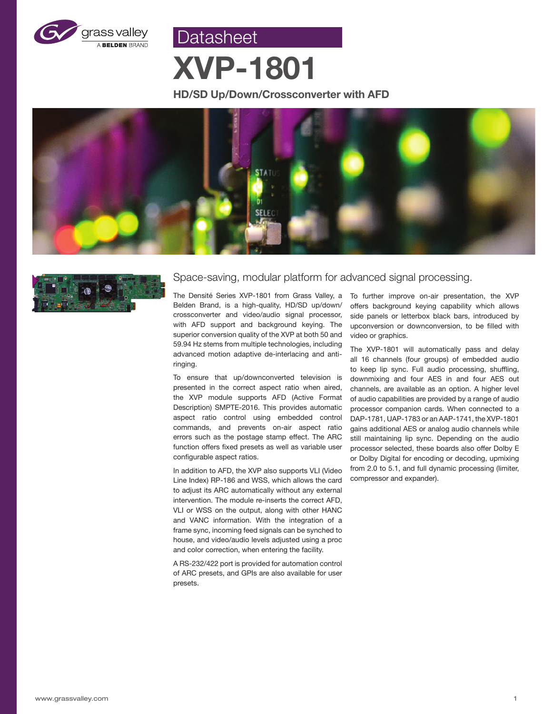

**Datasheet** 

# **XVP-1801**

### **HD/SD Up/Down/Crossconverter with AFD**





### Space-saving, modular platform for advanced signal processing.

The Densité Series XVP-1801 from Grass Valley, a Belden Brand, is a high-quality, HD/SD up/down/ crossconverter and video/audio signal processor, with AFD support and background keying. The superior conversion quality of the XVP at both 50 and 59.94 Hz stems from multiple technologies, including advanced motion adaptive de-interlacing and antiringing.

To ensure that up/downconverted television is presented in the correct aspect ratio when aired, the XVP module supports AFD (Active Format Description) SMPTE-2016. This provides automatic aspect ratio control using embedded control commands, and prevents on-air aspect ratio errors such as the postage stamp effect. The ARC function offers fixed presets as well as variable user configurable aspect ratios.

In addition to AFD, the XVP also supports VLI (Video Line Index) RP-186 and WSS, which allows the card to adjust its ARC automatically without any external intervention. The module re-inserts the correct AFD, VLI or WSS on the output, along with other HANC and VANC information. With the integration of a frame sync, incoming feed signals can be synched to house, and video/audio levels adjusted using a proc and color correction, when entering the facility.

A RS-232/422 port is provided for automation control of ARC presets, and GPIs are also available for user presets.

To further improve on-air presentation, the XVP offers background keying capability which allows side panels or letterbox black bars, introduced by upconversion or downconversion, to be filled with video or graphics.

The XVP-1801 will automatically pass and delay all 16 channels (four groups) of embedded audio to keep lip sync. Full audio processing, shuffling, downmixing and four AES in and four AES out channels, are available as an option. A higher level of audio capabilities are provided by a range of audio processor companion cards. When connected to a DAP-1781, UAP-1783 or an AAP-1741, the XVP-1801 gains additional AES or analog audio channels while still maintaining lip sync. Depending on the audio processor selected, these boards also offer Dolby E or Dolby Digital for encoding or decoding, upmixing from 2.0 to 5.1, and full dynamic processing (limiter, compressor and expander).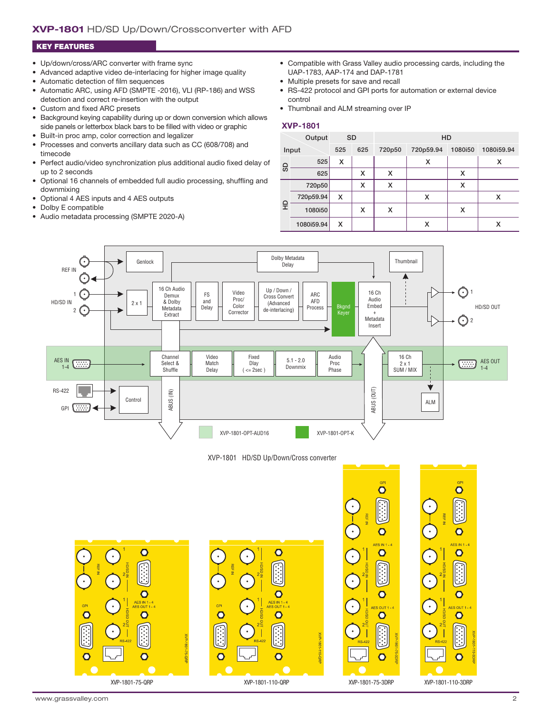#### **XVP-1801** HD/SD Up/Down/Crossconverter with AFD

#### KEY FEATURES

- Up/down/cross/ARC converter with frame sync
- Advanced adaptive video de-interlacing for higher image quality
- Automatic detection of film sequences
- Automatic ARC, using AFD (SMPTE -2016), VLI (RP-186) and WSS detection and correct re-insertion with the output
- Custom and fixed ARC presets
- Background keying capability during up or down conversion which allows side panels or letterbox black bars to be filled with video or graphic
- Built-in proc amp, color correction and legalizer
- Processes and converts ancillary data such as CC (608/708) and timecode
- Perfect audio/video synchronization plus additional audio fixed delay of up to 2 seconds
- Optional 16 channels of embedded full audio processing, shuffling and downmixing
- Optional 4 AES inputs and 4 AES outputs
- Dolby E compatible
- Audio metadata processing (SMPTE 2020-A)
- Compatible with Grass Valley audio processing cards, including the UAP-1783, AAP-174 and DAP-1781
- Multiple presets for save and recall
- RS-422 protocol and GPI ports for automation or external device control
- Thumbnail and ALM streaming over IP

#### **XVP-1801**

| Output |            | <b>SD</b> |     | HD     |           |         |            |
|--------|------------|-----------|-----|--------|-----------|---------|------------|
| Input  |            | 525       | 625 | 720p50 | 720p59.94 | 1080i50 | 1080i59.94 |
| 9      | 525        | X         |     |        | x         |         | х          |
|        | 625        |           | x   | x      |           | x       |            |
| 읖      | 720p50     |           | х   | x      |           | x       |            |
|        | 720p59.94  | x         |     |        | x         |         | x          |
|        | 1080i50    |           | х   | X      |           | x       |            |
|        | 1080i59.94 | x         |     |        | х         |         | х          |



XVP-1801 HD/SD Up/Down/Cross converter



 $\overline{\mathsf{O}}$ 

 $\overline{\mathsf{O}}$